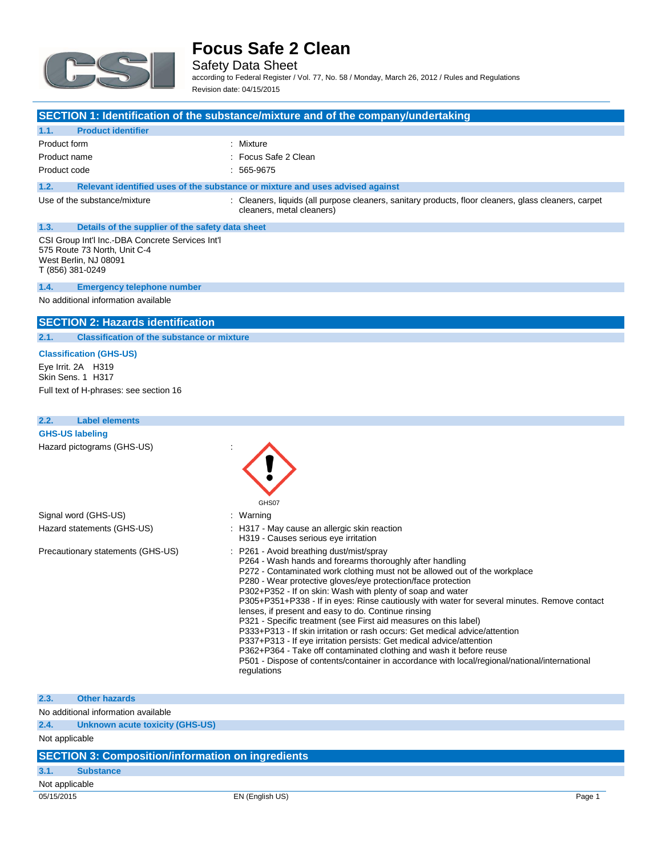

Safety Data Sheet according to Federal Register / Vol. 77, No. 58 / Monday, March 26, 2012 / Rules and Regulations

Revision date: 04/15/2015

### **SECTION 1: Identification of the substance/mixture and of the company/undertaking**

#### **1.1. Product identifier**

| Product form | : Mixture            |
|--------------|----------------------|
| Product name | : Focus Safe 2 Clean |
| Product code | $: 565-9675$         |

### **1.2. Relevant identified uses of the substance or mixture and uses advised against**

Use of the substance/mixture : Cleaners, liquids (all purpose cleaners, sanitary products, floor cleaners, glass cleaners, carpet cleaners, metal cleaners)

## **1.3. Details of the supplier of the safety data sheet**

CSI Group Int'l Inc.-DBA Concrete Services Int'l 575 Route 73 North, Unit C-4 West Berlin, NJ 08091 T (856) 381-0249

#### **1.4. Emergency telephone number**

No additional information available

#### **SECTION 2: Hazards identification**

#### **2.1. Classification of the substance or mixture**

**Classification (GHS-US)** Eye Irrit. 2A H319 Skin Sens. 1 H317

Full text of H-phrases: see section 16

| 2.2. | <b>Label elements</b>             |                                                                                                                                                                                                                                                                                                                                                                                                                                                                                                                                                                                                                                                                                                                                                                                                                                                                                           |
|------|-----------------------------------|-------------------------------------------------------------------------------------------------------------------------------------------------------------------------------------------------------------------------------------------------------------------------------------------------------------------------------------------------------------------------------------------------------------------------------------------------------------------------------------------------------------------------------------------------------------------------------------------------------------------------------------------------------------------------------------------------------------------------------------------------------------------------------------------------------------------------------------------------------------------------------------------|
|      | <b>GHS-US labeling</b>            |                                                                                                                                                                                                                                                                                                                                                                                                                                                                                                                                                                                                                                                                                                                                                                                                                                                                                           |
|      | Hazard pictograms (GHS-US)        | GHS07                                                                                                                                                                                                                                                                                                                                                                                                                                                                                                                                                                                                                                                                                                                                                                                                                                                                                     |
|      | Signal word (GHS-US)              | : Warning                                                                                                                                                                                                                                                                                                                                                                                                                                                                                                                                                                                                                                                                                                                                                                                                                                                                                 |
|      | Hazard statements (GHS-US)        | : H317 - May cause an allergic skin reaction<br>H319 - Causes serious eye irritation                                                                                                                                                                                                                                                                                                                                                                                                                                                                                                                                                                                                                                                                                                                                                                                                      |
|      | Precautionary statements (GHS-US) | : P261 - Avoid breathing dust/mist/spray<br>P264 - Wash hands and forearms thoroughly after handling<br>P272 - Contaminated work clothing must not be allowed out of the workplace<br>P280 - Wear protective gloves/eye protection/face protection<br>P302+P352 - If on skin: Wash with plenty of soap and water<br>P305+P351+P338 - If in eyes: Rinse cautiously with water for several minutes. Remove contact<br>lenses, if present and easy to do. Continue rinsing<br>P321 - Specific treatment (see First aid measures on this label)<br>P333+P313 - If skin irritation or rash occurs: Get medical advice/attention<br>P337+P313 - If eye irritation persists: Get medical advice/attention<br>P362+P364 - Take off contaminated clothing and wash it before reuse<br>P501 - Dispose of contents/container in accordance with local/regional/national/international<br>regulations |
| 2.3. | <b>Other hazards</b>              |                                                                                                                                                                                                                                                                                                                                                                                                                                                                                                                                                                                                                                                                                                                                                                                                                                                                                           |

### No additional information available

**2.4. Unknown acute toxicity (GHS-US)**

Not applicable

#### **SECTION 3: Composition/information on ingredients**

### **3.1. Substance**

Not applicable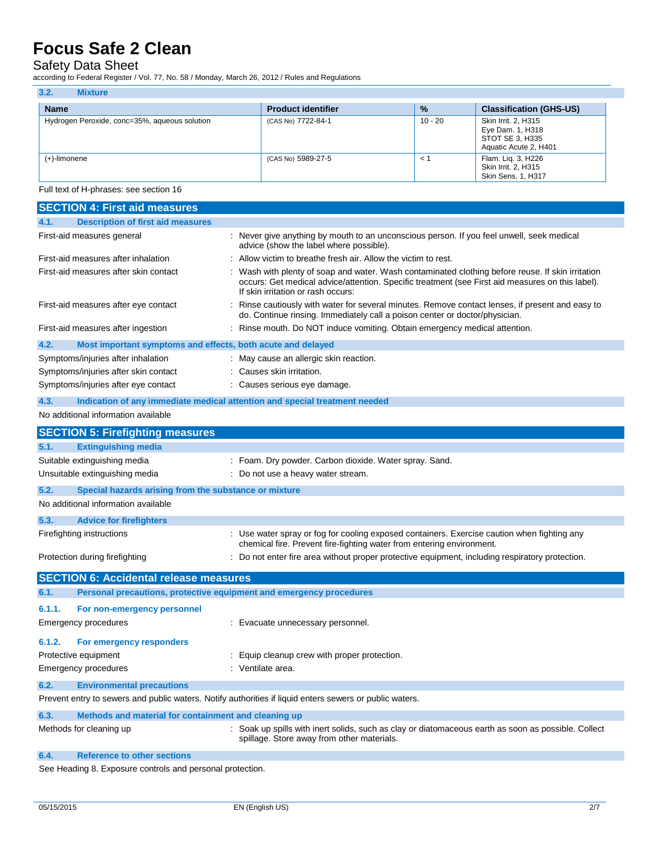### Safety Data Sheet

according to Federal Register / Vol. 77, No. 58 / Monday, March 26, 2012 / Rules and Regulations

| 3.2.<br><b>Mixture</b>                        |                           |               |                                                                                     |
|-----------------------------------------------|---------------------------|---------------|-------------------------------------------------------------------------------------|
| <b>Name</b>                                   | <b>Product identifier</b> | $\frac{9}{6}$ | <b>Classification (GHS-US)</b>                                                      |
| Hydrogen Peroxide, conc=35%, aqueous solution | (CAS No) 7722-84-1        | 10 - 20       | Skin Irrit. 2, H315<br>Eye Dam. 1, H318<br>STOT SE 3, H335<br>Aquatic Acute 2, H401 |
| (+)-limonene                                  | (CAS No) 5989-27-5        | $\prec$ '     | Flam. Lig. 3, H226<br>Skin Irrit. 2, H315<br><b>Skin Sens. 1, H317</b>              |

Full text of H-phrases: see section 16

| <b>SECTION 4: First aid measures</b>                                                                    |                                                                                                                                                                                                                                           |
|---------------------------------------------------------------------------------------------------------|-------------------------------------------------------------------------------------------------------------------------------------------------------------------------------------------------------------------------------------------|
| <b>Description of first aid measures</b><br>4.1.                                                        |                                                                                                                                                                                                                                           |
| First-aid measures general                                                                              | : Never give anything by mouth to an unconscious person. If you feel unwell, seek medical<br>advice (show the label where possible).                                                                                                      |
| First-aid measures after inhalation                                                                     | Allow victim to breathe fresh air. Allow the victim to rest.                                                                                                                                                                              |
| First-aid measures after skin contact                                                                   | Wash with plenty of soap and water. Wash contaminated clothing before reuse. If skin irritation<br>occurs: Get medical advice/attention. Specific treatment (see First aid measures on this label).<br>If skin irritation or rash occurs: |
| First-aid measures after eye contact                                                                    | : Rinse cautiously with water for several minutes. Remove contact lenses, if present and easy to<br>do. Continue rinsing. Immediately call a poison center or doctor/physician.                                                           |
| First-aid measures after ingestion                                                                      | : Rinse mouth. Do NOT induce vomiting. Obtain emergency medical attention.                                                                                                                                                                |
| 4.2.<br>Most important symptoms and effects, both acute and delayed                                     |                                                                                                                                                                                                                                           |
| Symptoms/injuries after inhalation                                                                      | : May cause an allergic skin reaction.                                                                                                                                                                                                    |
| Symptoms/injuries after skin contact                                                                    | : Causes skin irritation.                                                                                                                                                                                                                 |
| Symptoms/injuries after eye contact                                                                     | : Causes serious eye damage.                                                                                                                                                                                                              |
| 4.3.<br>Indication of any immediate medical attention and special treatment needed                      |                                                                                                                                                                                                                                           |
| No additional information available                                                                     |                                                                                                                                                                                                                                           |
| <b>SECTION 5: Firefighting measures</b>                                                                 |                                                                                                                                                                                                                                           |
| 5.1.<br><b>Extinguishing media</b>                                                                      |                                                                                                                                                                                                                                           |
| Suitable extinguishing media                                                                            | : Foam. Dry powder. Carbon dioxide. Water spray. Sand.                                                                                                                                                                                    |
| Unsuitable extinguishing media                                                                          | : Do not use a heavy water stream.                                                                                                                                                                                                        |
| 5.2.<br>Special hazards arising from the substance or mixture                                           |                                                                                                                                                                                                                                           |
| No additional information available                                                                     |                                                                                                                                                                                                                                           |
| 5.3.<br><b>Advice for firefighters</b>                                                                  |                                                                                                                                                                                                                                           |
| Firefighting instructions                                                                               | : Use water spray or fog for cooling exposed containers. Exercise caution when fighting any<br>chemical fire. Prevent fire-fighting water from entering environment.                                                                      |
| Protection during firefighting                                                                          | : Do not enter fire area without proper protective equipment, including respiratory protection.                                                                                                                                           |
| <b>SECTION 6: Accidental release measures</b>                                                           |                                                                                                                                                                                                                                           |
| Personal precautions, protective equipment and emergency procedures<br>6.1.                             |                                                                                                                                                                                                                                           |
| 6.1.1.<br>For non-emergency personnel                                                                   |                                                                                                                                                                                                                                           |
| Emergency procedures                                                                                    | : Evacuate unnecessary personnel.                                                                                                                                                                                                         |
| 6.1.2.<br>For emergency responders                                                                      |                                                                                                                                                                                                                                           |
| Protective equipment                                                                                    | : Equip cleanup crew with proper protection.                                                                                                                                                                                              |
| <b>Emergency procedures</b>                                                                             | : Ventilate area.                                                                                                                                                                                                                         |
| <b>Environmental precautions</b><br>6.2.                                                                |                                                                                                                                                                                                                                           |
| Prevent entry to sewers and public waters. Notify authorities if liquid enters sewers or public waters. |                                                                                                                                                                                                                                           |
| 6.3.<br>Methods and material for containment and cleaning up                                            |                                                                                                                                                                                                                                           |
| Methods for cleaning up                                                                                 | : Soak up spills with inert solids, such as clay or diatomaceous earth as soon as possible. Collect<br>spillage. Store away from other materials.                                                                                         |
| <b>Reference to other sections</b><br>6.4.                                                              |                                                                                                                                                                                                                                           |
|                                                                                                         |                                                                                                                                                                                                                                           |

See Heading 8. Exposure controls and personal protection.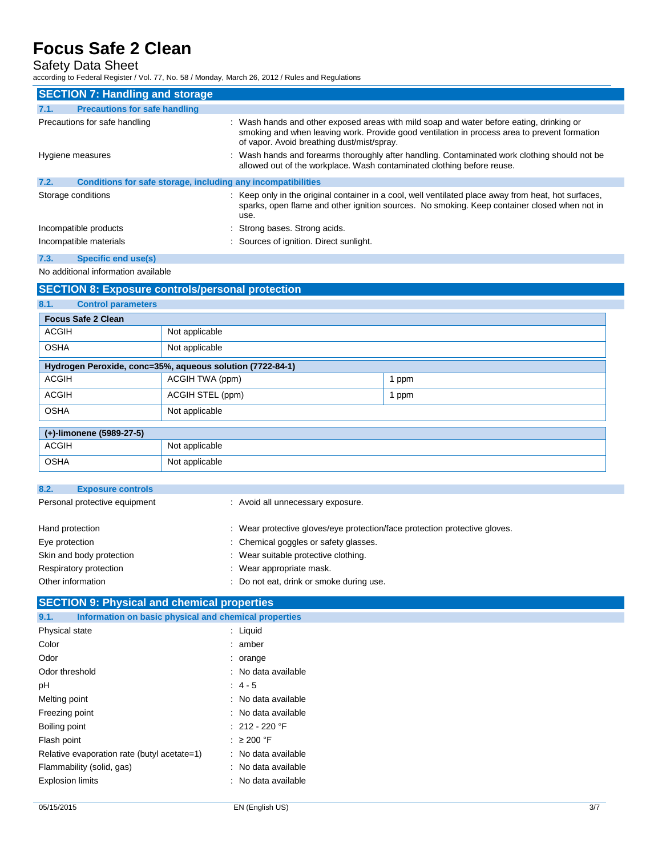## Safety Data Sheet

according to Federal Register / Vol. 77, No. 58 / Monday, March 26, 2012 / Rules and Regulations

| <b>SECTION 7: Handling and storage</b>                               |                                                                                                                                                                                                                                        |
|----------------------------------------------------------------------|----------------------------------------------------------------------------------------------------------------------------------------------------------------------------------------------------------------------------------------|
| <b>Precautions for safe handling</b><br>7.1.                         |                                                                                                                                                                                                                                        |
| Precautions for safe handling                                        | : Wash hands and other exposed areas with mild soap and water before eating, drinking or<br>smoking and when leaving work. Provide good ventilation in process area to prevent formation<br>of vapor. Avoid breathing dust/mist/spray. |
| Hygiene measures                                                     | : Wash hands and forearms thoroughly after handling. Contaminated work clothing should not be<br>allowed out of the workplace. Wash contaminated clothing before reuse.                                                                |
| 7.2.<br>Conditions for safe storage, including any incompatibilities |                                                                                                                                                                                                                                        |
| Storage conditions                                                   | : Keep only in the original container in a cool, well ventilated place away from heat, hot surfaces,<br>sparks, open flame and other ignition sources. No smoking. Keep container closed when not in<br>use.                           |
| Incompatible products                                                | Strong bases. Strong acids.                                                                                                                                                                                                            |
| Incompatible materials                                               | : Sources of ignition. Direct sunlight.                                                                                                                                                                                                |
| 7.3.<br>Specific end use(s)                                          |                                                                                                                                                                                                                                        |

No additional information available

## **SECTION 8: Exposure controls/personal protection 8.1. Control parameters Focus Safe 2 Clean** ACGIH Not applicable OSHA Not applicable **Hydrogen Peroxide, conc=35%, aqueous solution (7722-84-1)** ACGIH  $\vert$  ACGIH TWA (ppm) ACGIH ACGIH STEL (ppm) 1 ppm OSHA Not applicable **(+)-limonene (5989-27-5)** ACGIH Not applicable OSHA Not applicable

| 8.2.<br><b>Exposure controls</b> |                                                                            |
|----------------------------------|----------------------------------------------------------------------------|
| Personal protective equipment    | : Avoid all unnecessary exposure.                                          |
| Hand protection                  | : Wear protective gloves/eye protection/face protection protective gloves. |
| Eye protection                   | : Chemical goggles or safety glasses.                                      |
| Skin and body protection         | : Wear suitable protective clothing.                                       |
| Respiratory protection           | : Wear appropriate mask.                                                   |
| Other information                | Do not eat, drink or smoke during use.                                     |

| <b>SECTION 9: Physical and chemical properties</b>    |  |  |
|-------------------------------------------------------|--|--|
| Information on basic physical and chemical properties |  |  |
| $:$ Liquid                                            |  |  |
| : amber                                               |  |  |
| $:$ orange                                            |  |  |
| : No data available                                   |  |  |
| $: 4 - 5$                                             |  |  |
| : No data available                                   |  |  |
| : No data available                                   |  |  |
| : 212 - 220 °F                                        |  |  |
| $\therefore$ 200 °F                                   |  |  |
| : No data available                                   |  |  |
| : No data available                                   |  |  |
| : No data available                                   |  |  |
|                                                       |  |  |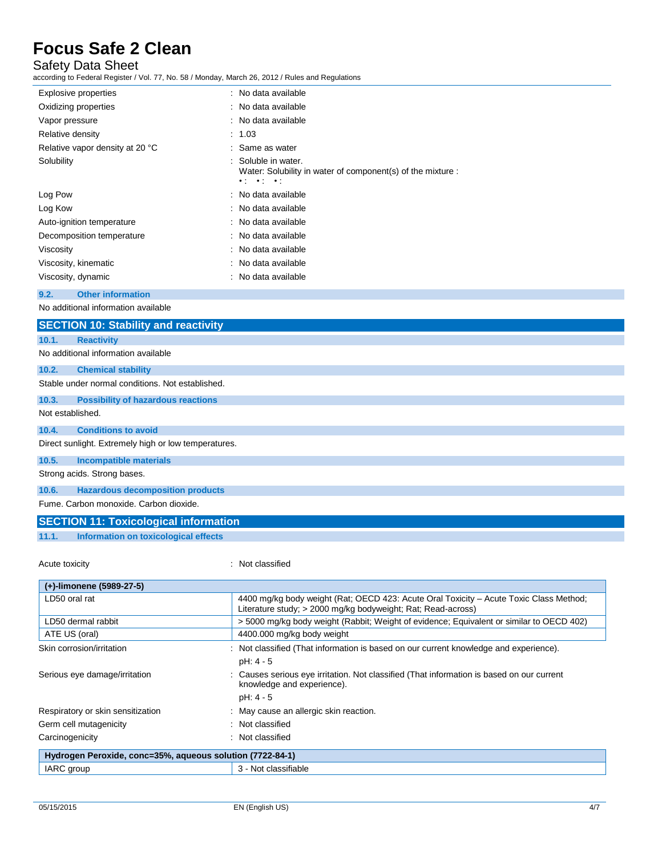## Safety Data Sheet

according to Federal Register / Vol. 77, No. 58 / Monday, March 26, 2012 / Rules and Regulations

| Explosive properties             | : No data available                                                                                                                   |
|----------------------------------|---------------------------------------------------------------------------------------------------------------------------------------|
| Oxidizing properties             | : No data available                                                                                                                   |
| Vapor pressure                   | : No data available                                                                                                                   |
| Relative density                 | : 1.03                                                                                                                                |
| Relative vapor density at 20 °C  | : Same as water                                                                                                                       |
| Solubility                       | : Soluble in water.<br>Water: Solubility in water of component(s) of the mixture :<br>$\bullet$ ( $\bullet$ ) $\bullet$ ( $\bullet$ ) |
| Log Pow                          | : No data available                                                                                                                   |
| Log Kow                          | : No data available                                                                                                                   |
| Auto-ignition temperature        | : No data available                                                                                                                   |
| Decomposition temperature        | : No data available                                                                                                                   |
| Viscosity                        | : No data available                                                                                                                   |
| Viscosity, kinematic             | : No data available                                                                                                                   |
| Viscosity, dynamic               | : No data available                                                                                                                   |
| 9.2.<br><b>Other information</b> |                                                                                                                                       |

No additional information available

|                  | <b>SECTION 10: Stability and reactivity</b>          |
|------------------|------------------------------------------------------|
| 10.1.            | <b>Reactivity</b>                                    |
|                  | No additional information available                  |
| 10.2.            | <b>Chemical stability</b>                            |
|                  | Stable under normal conditions. Not established.     |
| 10.3.            | <b>Possibility of hazardous reactions</b>            |
| Not established. |                                                      |
| 10.4.            | <b>Conditions to avoid</b>                           |
|                  | Direct sunlight. Extremely high or low temperatures. |
| 10.5.            | <b>Incompatible materials</b>                        |
|                  | Strong acids. Strong bases.                          |
| 10.6.            | <b>Hazardous decomposition products</b>              |
|                  | Fume, Carbon monoxide, Carbon dioxide,               |
|                  | <b>SECTION 11: Toxicological information</b>         |

**11.1. Information on toxicological effects**

Acute toxicity **in the case of the case of the case of the case of the case of the case of the case of the case of the case of the case of the case of the case of the case of the case of the case of the case of the case of** 

| (+)-limonene (5989-27-5)                                  |                                                                                                                                                        |
|-----------------------------------------------------------|--------------------------------------------------------------------------------------------------------------------------------------------------------|
| LD50 oral rat                                             | 4400 mg/kg body weight (Rat; OECD 423: Acute Oral Toxicity - Acute Toxic Class Method;<br>Literature study; > 2000 mg/kg bodyweight; Rat; Read-across) |
| LD50 dermal rabbit                                        | >5000 mg/kg body weight (Rabbit; Weight of evidence; Equivalent or similar to OECD 402)                                                                |
| ATE US (oral)                                             | 4400.000 mg/kg body weight                                                                                                                             |
| Skin corrosion/irritation                                 | : Not classified (That information is based on our current knowledge and experience).<br>pH: 4 - 5                                                     |
| Serious eye damage/irritation                             | Causes serious eye irritation. Not classified (That information is based on our current<br>knowledge and experience).<br>$pH: 4 - 5$                   |
| Respiratory or skin sensitization                         | : May cause an allergic skin reaction.                                                                                                                 |
| Germ cell mutagenicity                                    | : Not classified                                                                                                                                       |
| Carcinogenicity                                           | Not classified                                                                                                                                         |
| Hydrogen Peroxide, conc=35%, aqueous solution (7722-84-1) |                                                                                                                                                        |
| IARC group                                                | 3 - Not classifiable                                                                                                                                   |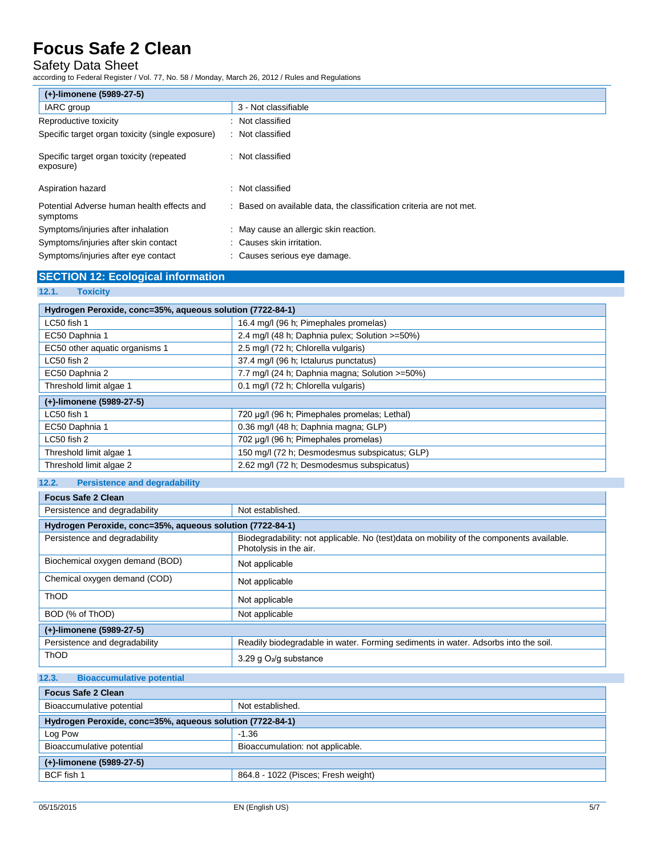## Safety Data Sheet

according to Federal Register / Vol. 77, No. 58 / Monday, March 26, 2012 / Rules and Regulations

| (+)-limonene (5989-27-5)                               |                                                                     |
|--------------------------------------------------------|---------------------------------------------------------------------|
| IARC group                                             | 3 - Not classifiable                                                |
| Reproductive toxicity                                  | : Not classified                                                    |
| Specific target organ toxicity (single exposure)       | : Not classified                                                    |
| Specific target organ toxicity (repeated<br>exposure)  | : Not classified                                                    |
| Aspiration hazard                                      | : Not classified                                                    |
| Potential Adverse human health effects and<br>symptoms | : Based on available data, the classification criteria are not met. |
| Symptoms/injuries after inhalation                     | : May cause an allergic skin reaction.                              |
| Symptoms/injuries after skin contact                   | Causes skin irritation.                                             |
| Symptoms/injuries after eye contact                    | : Causes serious eye damage.                                        |

## **SECTION 12: Ecological information**

### **12.1. Toxicity**

| Hydrogen Peroxide, conc=35%, aqueous solution (7722-84-1) |                                                |  |  |
|-----------------------------------------------------------|------------------------------------------------|--|--|
| LC50 fish 1                                               | 16.4 mg/l (96 h; Pimephales promelas)          |  |  |
| EC50 Daphnia 1                                            | 2.4 mg/l (48 h; Daphnia pulex; Solution >=50%) |  |  |
| EC50 other aquatic organisms 1                            | 2.5 mg/l (72 h; Chlorella vulgaris)            |  |  |
| $LC50$ fish 2                                             | 37.4 mg/l (96 h; Ictalurus punctatus)          |  |  |
| EC50 Daphnia 2                                            | 7.7 mg/l (24 h; Daphnia magna; Solution >=50%) |  |  |
| Threshold limit algae 1                                   | 0.1 mg/l (72 h; Chlorella vulgaris)            |  |  |
| (+)-limonene (5989-27-5)                                  |                                                |  |  |
| LC50 fish 1                                               | 720 µg/l (96 h; Pimephales promelas; Lethal)   |  |  |
| EC50 Daphnia 1                                            | 0.36 mg/l (48 h; Daphnia magna; GLP)           |  |  |
| LC50 fish 2                                               | 702 µg/l (96 h; Pimephales promelas)           |  |  |
| Threshold limit algae 1                                   | 150 mg/l (72 h; Desmodesmus subspicatus; GLP)  |  |  |
| Threshold limit algae 2                                   | 2.62 mg/l (72 h; Desmodesmus subspicatus)      |  |  |

### **12.2. Persistence and degradability**

| <b>Focus Safe 2 Clean</b>                                 |                                                                                                                    |  |
|-----------------------------------------------------------|--------------------------------------------------------------------------------------------------------------------|--|
| Persistence and degradability                             | Not established.                                                                                                   |  |
| Hydrogen Peroxide, conc=35%, aqueous solution (7722-84-1) |                                                                                                                    |  |
| Persistence and degradability                             | Biodegradability: not applicable. No (test)data on mobility of the components available.<br>Photolysis in the air. |  |
| Biochemical oxygen demand (BOD)                           | Not applicable                                                                                                     |  |
| Chemical oxygen demand (COD)                              | Not applicable                                                                                                     |  |
| ThOD                                                      | Not applicable                                                                                                     |  |
| BOD (% of ThOD)                                           | Not applicable                                                                                                     |  |
| (+)-limonene (5989-27-5)                                  |                                                                                                                    |  |
| Persistence and degradability                             | Readily biodegradable in water. Forming sediments in water. Adsorbs into the soil.                                 |  |
| <b>ThOD</b>                                               | 3.29 g $O_2$ /g substance                                                                                          |  |

### **12.3. Bioaccumulative potential**

| <b>Focus Safe 2 Clean</b>                                 |                                     |
|-----------------------------------------------------------|-------------------------------------|
| Bioaccumulative potential                                 | Not established.                    |
| Hydrogen Peroxide, conc=35%, aqueous solution (7722-84-1) |                                     |
| Log Pow                                                   | $-1.36$                             |
| Bioaccumulative potential                                 | Bioaccumulation: not applicable.    |
| (+)-limonene (5989-27-5)                                  |                                     |
| BCF fish 1                                                | 864.8 - 1022 (Pisces: Fresh weight) |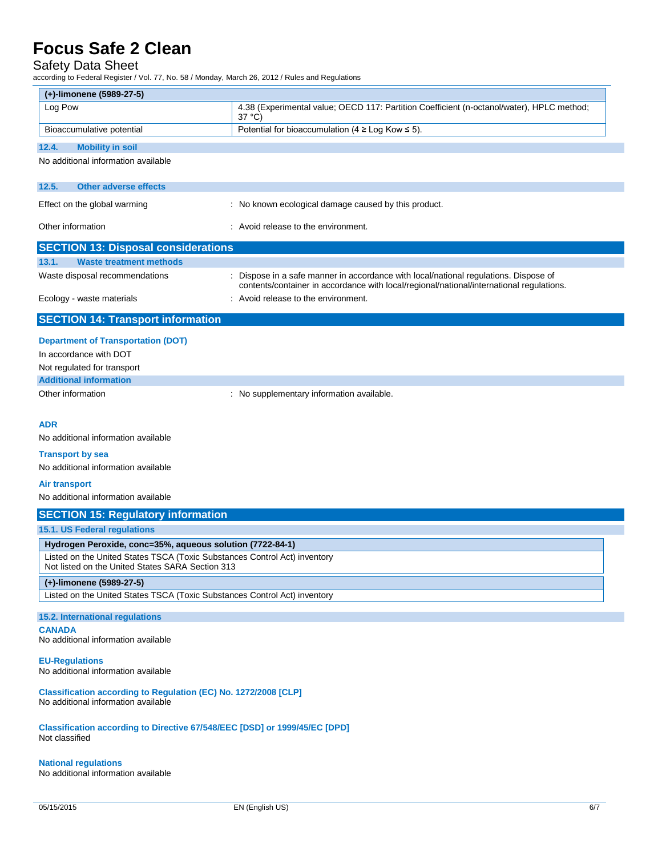### Safety Data Sheet

according to Federal Register / Vol. 77, No. 58 / Monday, March 26, 2012 / Rules and Regulations

| (+)-limonene (5989-27-5)                                                                                                      |                                                                                                                                                                                |
|-------------------------------------------------------------------------------------------------------------------------------|--------------------------------------------------------------------------------------------------------------------------------------------------------------------------------|
| Log Pow                                                                                                                       | 4.38 (Experimental value; OECD 117: Partition Coefficient (n-octanol/water), HPLC method;<br>$37^{\circ}$ C)                                                                   |
| Bioaccumulative potential                                                                                                     | Potential for bioaccumulation ( $4 \geq Log$ Kow $\leq 5$ ).                                                                                                                   |
| 12.4.<br><b>Mobility in soil</b>                                                                                              |                                                                                                                                                                                |
| No additional information available                                                                                           |                                                                                                                                                                                |
| 12.5.<br><b>Other adverse effects</b>                                                                                         |                                                                                                                                                                                |
| Effect on the global warming                                                                                                  | : No known ecological damage caused by this product.                                                                                                                           |
| Other information                                                                                                             | : Avoid release to the environment.                                                                                                                                            |
| <b>SECTION 13: Disposal considerations</b>                                                                                    |                                                                                                                                                                                |
| 13.1.<br><b>Waste treatment methods</b>                                                                                       |                                                                                                                                                                                |
| Waste disposal recommendations                                                                                                | Dispose in a safe manner in accordance with local/national regulations. Dispose of<br>contents/container in accordance with local/regional/national/international regulations. |
| Ecology - waste materials                                                                                                     | : Avoid release to the environment.                                                                                                                                            |
| <b>SECTION 14: Transport information</b>                                                                                      |                                                                                                                                                                                |
| <b>Department of Transportation (DOT)</b>                                                                                     |                                                                                                                                                                                |
| In accordance with DOT                                                                                                        |                                                                                                                                                                                |
| Not regulated for transport                                                                                                   |                                                                                                                                                                                |
| <b>Additional information</b>                                                                                                 |                                                                                                                                                                                |
| Other information                                                                                                             | : No supplementary information available.                                                                                                                                      |
|                                                                                                                               |                                                                                                                                                                                |
| <b>ADR</b><br>No additional information available                                                                             |                                                                                                                                                                                |
|                                                                                                                               |                                                                                                                                                                                |
| <b>Transport by sea</b><br>No additional information available                                                                |                                                                                                                                                                                |
| <b>Air transport</b>                                                                                                          |                                                                                                                                                                                |
| No additional information available                                                                                           |                                                                                                                                                                                |
| <b>SECTION 15: Regulatory information</b>                                                                                     |                                                                                                                                                                                |
| 15.1. US Federal regulations                                                                                                  |                                                                                                                                                                                |
| Hydrogen Peroxide, conc=35%, aqueous solution (7722-84-1)                                                                     |                                                                                                                                                                                |
| Listed on the United States TSCA (Toxic Substances Control Act) inventory<br>Not listed on the United States SARA Section 313 |                                                                                                                                                                                |
| (+)-limonene (5989-27-5)                                                                                                      |                                                                                                                                                                                |
| Listed on the United States TSCA (Toxic Substances Control Act) inventory                                                     |                                                                                                                                                                                |
| 15.2. International regulations                                                                                               |                                                                                                                                                                                |
| <b>CANADA</b><br>No additional information available                                                                          |                                                                                                                                                                                |
| <b>EU-Regulations</b><br>No additional information available                                                                  |                                                                                                                                                                                |
| Classification according to Regulation (EC) No. 1272/2008 [CLP]                                                               |                                                                                                                                                                                |
| No additional information available                                                                                           |                                                                                                                                                                                |
| Classification according to Directive 67/548/EEC [DSD] or 1999/45/EC [DPD]<br>Not classified                                  |                                                                                                                                                                                |
| <b>National regulations</b><br>No additional information available                                                            |                                                                                                                                                                                |